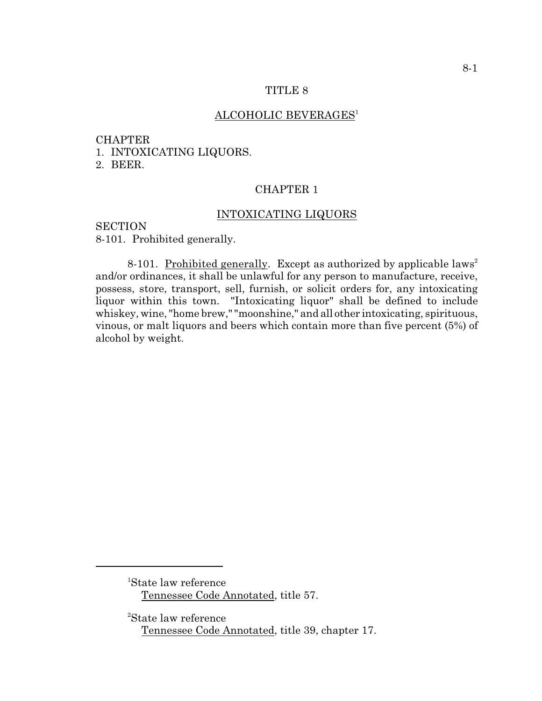#### TITLE 8

# ALCOHOLIC BEVERAGES<sup>1</sup>

#### **CHAPTER**

1. INTOXICATING LIQUORS.

2. BEER.

# CHAPTER 1

## INTOXICATING LIQUORS

# **SECTION**

8-101. Prohibited generally.

8-101. Prohibited generally. Except as authorized by applicable laws<sup>2</sup> and/or ordinances, it shall be unlawful for any person to manufacture, receive, possess, store, transport, sell, furnish, or solicit orders for, any intoxicating liquor within this town. "Intoxicating liquor" shall be defined to include whiskey, wine, "home brew," "moonshine," and all other intoxicating, spirituous, vinous, or malt liquors and beers which contain more than five percent (5%) of alcohol by weight.

<sup>&</sup>lt;sup>1</sup>State law reference Tennessee Code Annotated, title 57.

<sup>&</sup>lt;sup>2</sup>State law reference Tennessee Code Annotated, title 39, chapter 17.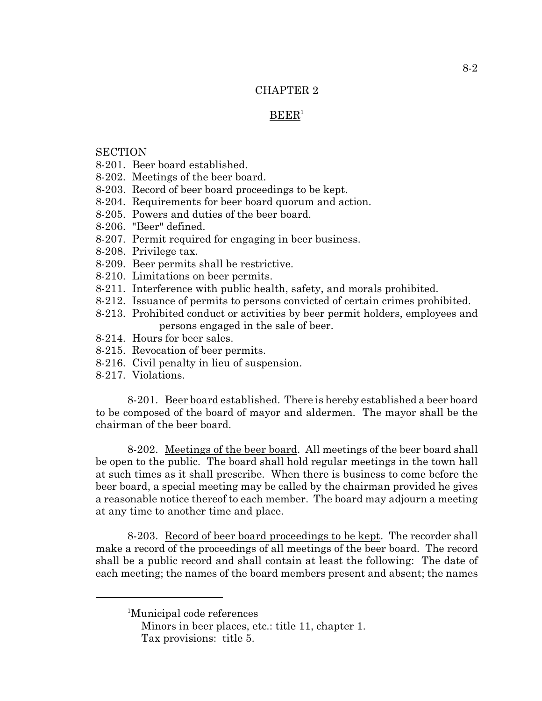# CHAPTER 2

## $BEER<sup>1</sup>$

#### **SECTION**

- 8-201. Beer board established.
- 8-202. Meetings of the beer board.
- 8-203. Record of beer board proceedings to be kept.
- 8-204. Requirements for beer board quorum and action.
- 8-205. Powers and duties of the beer board.
- 8-206. "Beer" defined.
- 8-207. Permit required for engaging in beer business.
- 8-208. Privilege tax.
- 8-209. Beer permits shall be restrictive.
- 8-210. Limitations on beer permits.
- 8-211. Interference with public health, safety, and morals prohibited.
- 8-212. Issuance of permits to persons convicted of certain crimes prohibited.
- 8-213. Prohibited conduct or activities by beer permit holders, employees and persons engaged in the sale of beer.
- 8-214. Hours for beer sales.
- 8-215. Revocation of beer permits.
- 8-216. Civil penalty in lieu of suspension.
- 8-217. Violations.

8-201. Beer board established. There is hereby established a beer board to be composed of the board of mayor and aldermen. The mayor shall be the chairman of the beer board.

8-202. Meetings of the beer board. All meetings of the beer board shall be open to the public. The board shall hold regular meetings in the town hall at such times as it shall prescribe. When there is business to come before the beer board, a special meeting may be called by the chairman provided he gives a reasonable notice thereof to each member. The board may adjourn a meeting at any time to another time and place.

8-203. Record of beer board proceedings to be kept. The recorder shall make a record of the proceedings of all meetings of the beer board. The record shall be a public record and shall contain at least the following: The date of each meeting; the names of the board members present and absent; the names

<sup>&</sup>lt;sup>1</sup>Municipal code references

Minors in beer places, etc.: title 11, chapter 1. Tax provisions: title 5.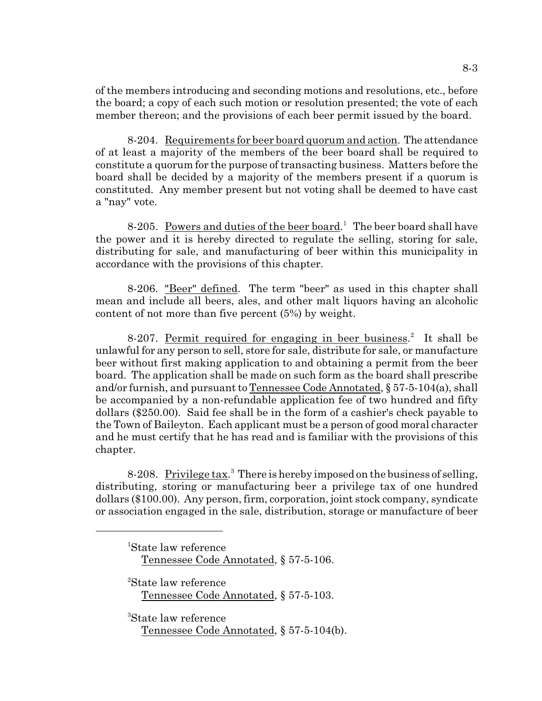of the members introducing and seconding motions and resolutions, etc., before the board; a copy of each such motion or resolution presented; the vote of each member thereon; and the provisions of each beer permit issued by the board.

8-204. Requirements for beer board quorum and action. The attendance of at least a majority of the members of the beer board shall be required to constitute a quorum for the purpose of transacting business. Matters before the board shall be decided by a majority of the members present if a quorum is constituted. Any member present but not voting shall be deemed to have cast a "nay" vote.

8-205. Powers and duties of the beer board.<sup>1</sup> The beer board shall have the power and it is hereby directed to regulate the selling, storing for sale, distributing for sale, and manufacturing of beer within this municipality in accordance with the provisions of this chapter.

8-206. "Beer" defined. The term "beer" as used in this chapter shall mean and include all beers, ales, and other malt liquors having an alcoholic content of not more than five percent (5%) by weight.

8-207. Permit required for engaging in beer business.<sup>2</sup> It shall be unlawful for any person to sell, store for sale, distribute for sale, or manufacture beer without first making application to and obtaining a permit from the beer board. The application shall be made on such form as the board shall prescribe and/or furnish, and pursuant to Tennessee Code Annotated,  $\S 57-5-104(a)$ , shall be accompanied by a non-refundable application fee of two hundred and fifty dollars (\$250.00). Said fee shall be in the form of a cashier's check payable to the Town of Baileyton. Each applicant must be a person of good moral character and he must certify that he has read and is familiar with the provisions of this chapter.

8-208. Privilege tax.<sup>3</sup> There is hereby imposed on the business of selling, distributing, storing or manufacturing beer a privilege tax of one hundred dollars (\$100.00). Any person, firm, corporation, joint stock company, syndicate or association engaged in the sale, distribution, storage or manufacture of beer

 ${}^{1}$ State law reference Tennessee Code Annotated, § 57-5-106.

<sup>2</sup>State law reference Tennessee Code Annotated, § 57-5-103.

<sup>3</sup>State law reference Tennessee Code Annotated, § 57-5-104(b).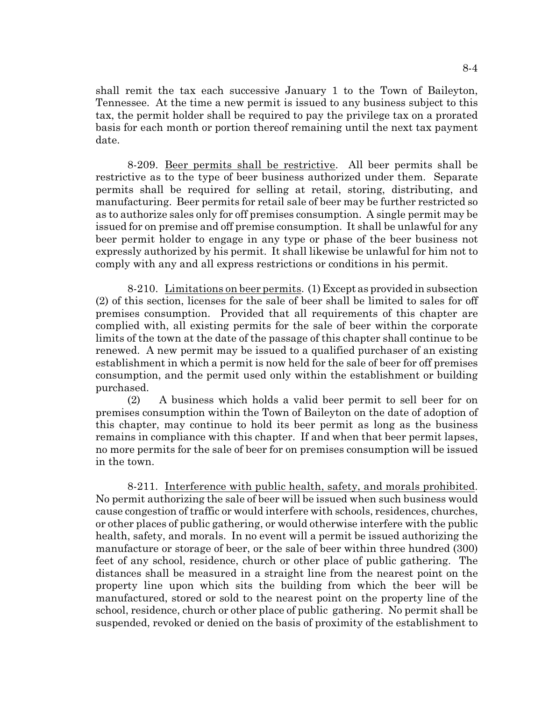shall remit the tax each successive January 1 to the Town of Baileyton, Tennessee. At the time a new permit is issued to any business subject to this tax, the permit holder shall be required to pay the privilege tax on a prorated basis for each month or portion thereof remaining until the next tax payment date.

8-209. Beer permits shall be restrictive. All beer permits shall be restrictive as to the type of beer business authorized under them. Separate permits shall be required for selling at retail, storing, distributing, and manufacturing. Beer permits for retail sale of beer may be further restricted so as to authorize sales only for off premises consumption. A single permit may be issued for on premise and off premise consumption. It shall be unlawful for any beer permit holder to engage in any type or phase of the beer business not expressly authorized by his permit. It shall likewise be unlawful for him not to comply with any and all express restrictions or conditions in his permit.

8-210. Limitations on beer permits. (1) Except as provided in subsection (2) of this section, licenses for the sale of beer shall be limited to sales for off premises consumption. Provided that all requirements of this chapter are complied with, all existing permits for the sale of beer within the corporate limits of the town at the date of the passage of this chapter shall continue to be renewed. A new permit may be issued to a qualified purchaser of an existing establishment in which a permit is now held for the sale of beer for off premises consumption, and the permit used only within the establishment or building purchased.

(2) A business which holds a valid beer permit to sell beer for on premises consumption within the Town of Baileyton on the date of adoption of this chapter, may continue to hold its beer permit as long as the business remains in compliance with this chapter. If and when that beer permit lapses, no more permits for the sale of beer for on premises consumption will be issued in the town.

8-211. Interference with public health, safety, and morals prohibited. No permit authorizing the sale of beer will be issued when such business would cause congestion of traffic or would interfere with schools, residences, churches, or other places of public gathering, or would otherwise interfere with the public health, safety, and morals. In no event will a permit be issued authorizing the manufacture or storage of beer, or the sale of beer within three hundred (300) feet of any school, residence, church or other place of public gathering. The distances shall be measured in a straight line from the nearest point on the property line upon which sits the building from which the beer will be manufactured, stored or sold to the nearest point on the property line of the school, residence, church or other place of public gathering. No permit shall be suspended, revoked or denied on the basis of proximity of the establishment to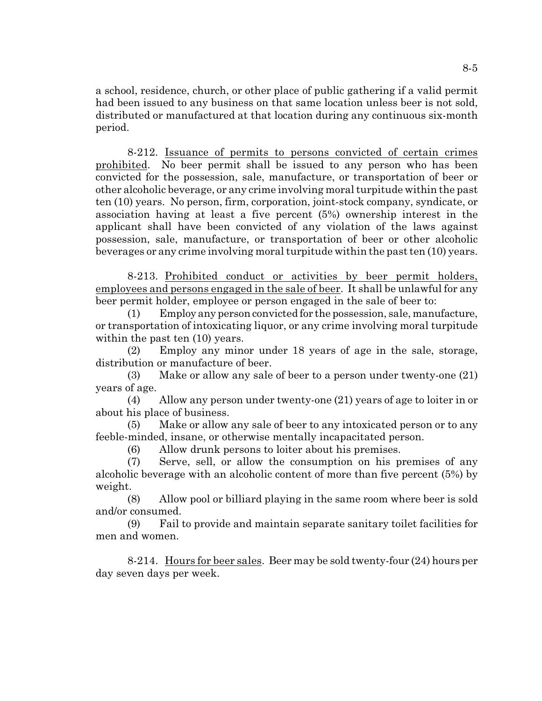a school, residence, church, or other place of public gathering if a valid permit had been issued to any business on that same location unless beer is not sold, distributed or manufactured at that location during any continuous six-month period.

8-212. Issuance of permits to persons convicted of certain crimes prohibited. No beer permit shall be issued to any person who has been convicted for the possession, sale, manufacture, or transportation of beer or other alcoholic beverage, or any crime involving moral turpitude within the past ten (10) years. No person, firm, corporation, joint-stock company, syndicate, or association having at least a five percent (5%) ownership interest in the applicant shall have been convicted of any violation of the laws against possession, sale, manufacture, or transportation of beer or other alcoholic beverages or any crime involving moral turpitude within the past ten (10) years.

8-213. Prohibited conduct or activities by beer permit holders, employees and persons engaged in the sale of beer. It shall be unlawful for any beer permit holder, employee or person engaged in the sale of beer to:

(1) Employ any person convicted for the possession, sale, manufacture, or transportation of intoxicating liquor, or any crime involving moral turpitude within the past ten  $(10)$  years.

(2) Employ any minor under 18 years of age in the sale, storage, distribution or manufacture of beer.

(3) Make or allow any sale of beer to a person under twenty-one (21) years of age.

(4) Allow any person under twenty-one (21) years of age to loiter in or about his place of business.

(5) Make or allow any sale of beer to any intoxicated person or to any feeble-minded, insane, or otherwise mentally incapacitated person.

(6) Allow drunk persons to loiter about his premises.

(7) Serve, sell, or allow the consumption on his premises of any alcoholic beverage with an alcoholic content of more than five percent (5%) by weight.

(8) Allow pool or billiard playing in the same room where beer is sold and/or consumed.

(9) Fail to provide and maintain separate sanitary toilet facilities for men and women.

8-214. Hours for beer sales. Beer may be sold twenty-four (24) hours per day seven days per week.